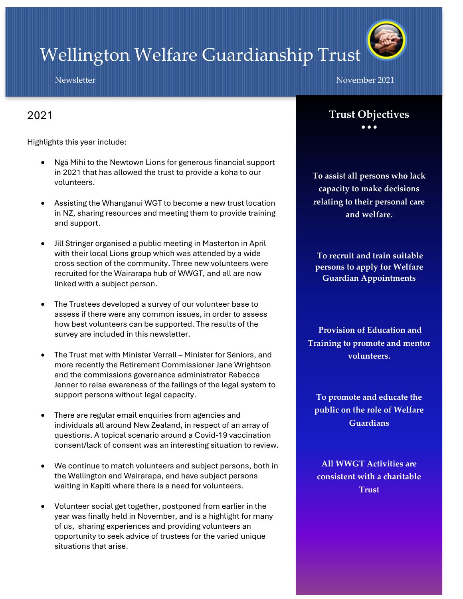# Wellington Welfare Guardianship Trust

Newsletter November 2021

### 2021

Highlights this year include:

- Ngā Mihi to the Newtown Lions for generous financial support in 2021 that has allowed the trust to provide a koha to our volunteers.
- Assisting the Whanganui WGT to become a new trust location in NZ, sharing resources and meeting them to provide training and support.
- Jill Stringer organised a public meeting in Masterton in April with their local Lions group which was attended by a wide cross section of the community. Three new volunteers were recruited for the Wairarapa hub of WWGT, and all are now linked with a subject person.
- The Trustees developed a survey of our volunteer base to assess if there were any common issues, in order to assess how best volunteers can be supported. The results of the survey are included in this newsletter.
- The Trust met with Minister Verrall Minister for Seniors, and more recently the Retirement Commissioner Jane Wrightson and the commissions governance administrator Rebecca Jenner to raise awareness of the failings of the legal system to support persons without legal capacity.
- There are regular email enquiries from agencies and individuals all around New Zealand, in respect of an array of questions. A topical scenario around a Covid-19 vaccination consent/lack of consent was an interesting situation to review.
- We continue to match volunteers and subject persons, both in the Wellington and Wairarapa, and have subject persons waiting in Kapiti where there is a need for volunteers.
- Volunteer social get together, postponed from earlier in the year was finally held in November, and is a highlight for many of us, sharing experiences and providing volunteers an opportunity to seek advice of trustees for the varied unique situations that arise.

**Trust Objectives** • • •

**To assist all persons who lack capacity to make decisions relating to their personal care and welfare.**

**To recruit and train suitable persons to apply for Welfare Guardian Appointments**

**Provision of Education and Training to promote and mentor volunteers.**

**To promote and educate the public on the role of Welfare Guardians**

**All WWGT Activities are consistent with a charitable Trust**

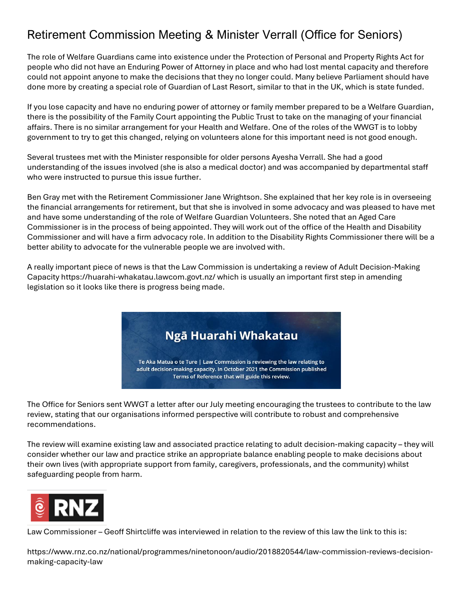### Retirement Commission Meeting & Minister Verrall (Office for Seniors)

The role of Welfare Guardians came into existence under the Protection of Personal and Property Rights Act for people who did not have an Enduring Power of Attorney in place and who had lost mental capacity and therefore could not appoint anyone to make the decisions that they no longer could. Many believe Parliament should have done more by creating a special role of Guardian of Last Resort, similar to that in the UK, which is state funded.

If you lose capacity and have no enduring power of attorney or family member prepared to be a Welfare Guardian, there is the possibility of the Family Court appointing the Public Trust to take on the managing of your financial affairs. There is no similar arrangement for your Health and Welfare. One of the roles of the WWGT is to lobby government to try to get this changed, relying on volunteers alone for this important need is not good enough.

Several trustees met with the Minister responsible for older persons Ayesha Verrall. She had a good understanding of the issues involved (she is also a medical doctor) and was accompanied by departmental staff who were instructed to pursue this issue further.

Ben Gray met with the Retirement Commissioner Jane Wrightson. She explained that her key role is in overseeing the financial arrangements for retirement, but that she is involved in some advocacy and was pleased to have met and have some understanding of the role of Welfare Guardian Volunteers. She noted that an Aged Care Commissioner is in the process of being appointed. They will work out of the office of the Health and Disability Commissioner and will have a firm advocacy role. In addition to the Disability Rights Commissioner there will be a better ability to advocate for the vulnerable people we are involved with.

A really important piece of news is that the Law Commission is undertaking a review of Adult Decision-Making Capacity<https://huarahi-whakatau.lawcom.govt.nz/> which is usually an important first step in amending legislation so it looks like there is progress being made.

### Ngā Huarahi Whakatau

Te Aka Matua o te Ture | Law Commission is reviewing the law relating to adult decision-making capacity. In October 2021 the Commission published Terms of Reference that will guide this review.

The Office for Seniors sent WWGT a letter after our July meeting encouraging the trustees to contribute to the law review, stating that our organisations informed perspective will contribute to robust and comprehensive recommendations.

The review will examine existing law and associated practice relating to adult decision-making capacity – they will consider whether our law and practice strike an appropriate balance enabling people to make decisions about their own lives (with appropriate support from family, caregivers, professionals, and the community) whilst safeguarding people from harm.



Law Commissioner – Geoff Shirtcliffe was interviewed in relation to the review of this law the link to this is:

[https://www.rnz.co.nz/national/programmes/ninetonoon/audio/2018820544/law-commission-reviews-decision](https://www.rnz.co.nz/national/programmes/ninetonoon/audio/2018820544/law-commission-reviews-decision-making-capacity-law)[making-capacity-law](https://www.rnz.co.nz/national/programmes/ninetonoon/audio/2018820544/law-commission-reviews-decision-making-capacity-law)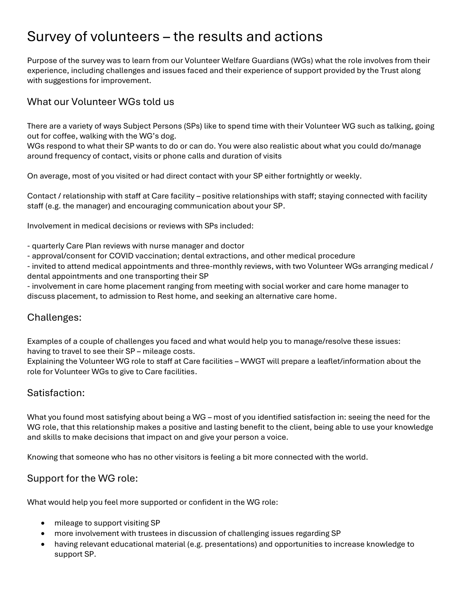## Survey of volunteers – the results and actions

Purpose of the survey was to learn from our Volunteer Welfare Guardians (WGs) what the role involves from their experience, including challenges and issues faced and their experience of support provided by the Trust along with suggestions for improvement.

#### What our Volunteer WGs told us

There are a variety of ways Subject Persons (SPs) like to spend time with their Volunteer WG such as talking, going out for coffee, walking with the WG's dog.

WGs respond to what their SP wants to do or can do. You were also realistic about what you could do/manage around frequency of contact, visits or phone calls and duration of visits

On average, most of you visited or had direct contact with your SP either fortnightly or weekly.

Contact / relationship with staff at Care facility – positive relationships with staff; staying connected with facility staff (e.g. the manager) and encouraging communication about your SP.

Involvement in medical decisions or reviews with SPs included:

- quarterly Care Plan reviews with nurse manager and doctor

- approval/consent for COVID vaccination; dental extractions, and other medical procedure

- invited to attend medical appointments and three-monthly reviews, with two Volunteer WGs arranging medical / dental appointments and one transporting their SP

- involvement in care home placement ranging from meeting with social worker and care home manager to discuss placement, to admission to Rest home, and seeking an alternative care home.

#### Challenges:

Examples of a couple of challenges you faced and what would help you to manage/resolve these issues: having to travel to see their SP – mileage costs.

Explaining the Volunteer WG role to staff at Care facilities – WWGT will prepare a leaflet/information about the role for Volunteer WGs to give to Care facilities.

#### Satisfaction:

What you found most satisfying about being a WG – most of you identified satisfaction in: seeing the need for the WG role, that this relationship makes a positive and lasting benefit to the client, being able to use your knowledge and skills to make decisions that impact on and give your person a voice.

Knowing that someone who has no other visitors is feeling a bit more connected with the world.

#### Support for the WG role:

What would help you feel more supported or confident in the WG role:

- mileage to support visiting SP
- more involvement with trustees in discussion of challenging issues regarding SP
- having relevant educational material (e.g. presentations) and opportunities to increase knowledge to support SP.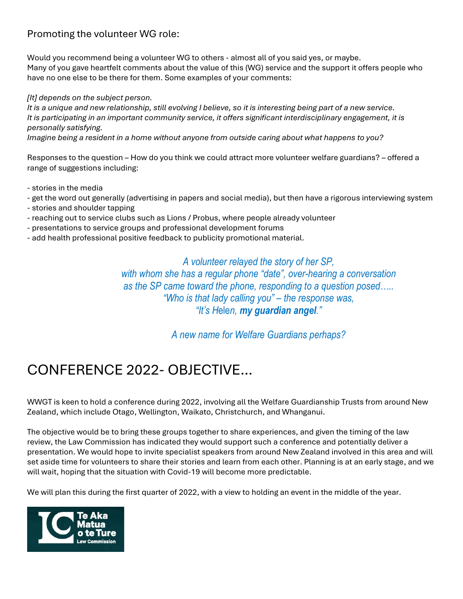#### Promoting the volunteer WG role:

Would you recommend being a volunteer WG to others - almost all of you said yes, or maybe. Many of you gave heartfelt comments about the value of this (WG) service and the support it offers people who have no one else to be there for them. Some examples of your comments:

*[It] depends on the subject person.*

*It is a unique and new relationship, still evolving I believe, so it is interesting being part of a new service. It is participating in an important community service, it offers significant interdisciplinary engagement, it is personally satisfying.*

*Imagine being a resident in a home without anyone from outside caring about what happens to you?*

Responses to the question – How do you think we could attract more volunteer welfare guardians? – offered a range of suggestions including:

- stories in the media

- get the word out generally (advertising in papers and social media), but then have a rigorous interviewing system
- stories and shoulder tapping
- reaching out to service clubs such as Lions / Probus, where people already volunteer
- presentations to service groups and professional development forums
- add health professional positive feedback to publicity promotional material.

*A volunteer relayed the story of her SP, with whom she has a regular phone "date", over-hearing a conversation as the SP came toward the phone, responding to a question posed….. "Who is that lady calling you" – the response was, "It's H*ele*n, my guardian angel."*

*A new name for Welfare Guardians perhaps?*

## CONFERENCE 2022- OBJECTIVE…

WWGT is keen to hold a conference during 2022, involving all the Welfare Guardianship Trusts from around New Zealand, which include Otago, Wellington, Waikato, Christchurch, and Whanganui.

The objective would be to bring these groups together to share experiences, and given the timing of the law review, the Law Commission has indicated they would support such a conference and potentially deliver a presentation. We would hope to invite specialist speakers from around New Zealand involved in this area and will set aside time for volunteers to share their stories and learn from each other. Planning is at an early stage, and we will wait, hoping that the situation with Covid-19 will become more predictable.

We will plan this during the first quarter of 2022, with a view to holding an event in the middle of the year.